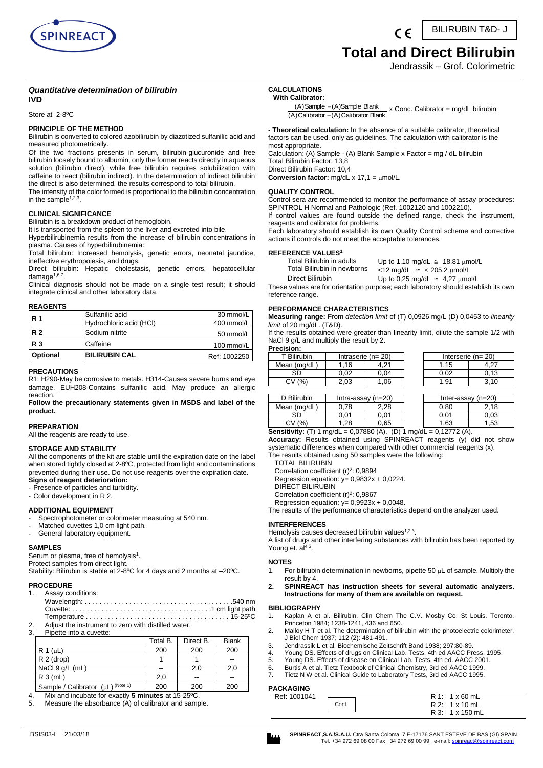

BILIRUBIN T&D- J

# **Total and Direct Bilirubin**

Jendrassik – Grof. Colorimetric

# *Quantitative determination of bilirubin* **IVD**

Store at 2-8ºC

# **PRINCIPLE OF THE METHOD**

Bilirubin is converted to colored azobilirubin by diazotized sulfanilic acid and measured photometrically.

Of the two fractions presents in serum, bilirubin-glucuronide and free bilirubin loosely bound to albumin, only the former reacts directly in aqueous solution (bilirubin direct), while free bilirubin requires solubilization with caffeine to react (bilirubin indirect). In the determination of indirect bilirubin the direct is also determined, the results correspond to total bilirubin.

The intensity of the color formed is proportional to the bilirubin concentration in the sample $^{1,2,3}$ .

# **CLINICAL SIGNIFICANCE**

Bilirubin is a breakdown product of hemoglobin.

It is transported from the spleen to the liver and excreted into bile.

Hyperbilirubinemia results from the increase of bilirubin concentrations in plasma. Causes of hyperbilirubinemia:

Total bilirubin: Increased hemolysis, genetic errors, neonatal jaundice, ineffective erythropoiesis, and drugs.

Direct bilirubin: Hepatic cholestasis, genetic errors, hepatocellular damage<sup>1,6,7</sup>.

Clinical diagnosis should not be made on a single test result; it should integrate clinical and other laboratory data.

# **REAGENTS**

| <b>R</b> 1 | Sulfanilic acid<br>Hydrochloric acid (HCI) | 30 mmol/L<br>400 mmol/L |
|------------|--------------------------------------------|-------------------------|
| <b>R2</b>  | Sodium nitrite                             | 50 mmol/L               |
| <b>R3</b>  | Caffeine                                   | 100 mmol/L              |
| Optional   | <b>BILIRUBIN CAL</b>                       | Ref: 1002250            |

#### **PRECAUTIONS**

R1: H290-May be corrosive to metals. H314-Causes severe burns and eye damage. EUH208-Contains sulfanilic acid. May produce an allergic reaction.

**Follow the precautionary statements given in MSDS and label of the product.**

# **PREPARATION**

All the reagents are ready to use.

# **STORAGE AND STABILITY**

All the components of the kit are stable until the expiration date on the label when stored tightly closed at 2-8ºC, protected from light and contaminations prevented during their use. Do not use reagents over the expiration date. **Signs of reagent deterioration:** 

- Presence of particles and turbidity.

- Color development in R 2.

# **ADDITIONAL EQUIPMENT**

Spectrophotometer or colorimeter measuring at 540 nm.

- Matched cuvettes 1,0 cm light path.
- General laboratory equipment.

#### **SAMPLES**

Serum or plasma, free of hemolysis<sup>1</sup>.

Protect samples from direct light.

Stability: Bilirubin is stable at 2-8ºC for 4 days and 2 months at –20ºC.

# **PROCEDURE**<br>1. Assay co

- Assay conditions: Wavelength: . . . . . . . . . . . . . . . . . . . . . . . . . . . . . . . . . . . . . . . .540 nm Cuvette: . . . . . . . . . . . . . . . . . . . . . . . . . . . . . . . . . . . . . .1 cm light path Temperature . . . . . . . . . . . . . . . . . . . . . . . . . . . . . . . . . . . . . . . 15-25ºC
- 2. Adjust the instrument to zero with distilled water. 3. Pipette into a cuvette:

| .,.           | <b>IDONG IND &amp; CUVONG.</b>    |          |           |              |
|---------------|-----------------------------------|----------|-----------|--------------|
|               |                                   | Total B. | Direct B. | <b>Blank</b> |
| $R 1 (\mu L)$ |                                   | 200      | 200       | 200          |
|               | $R2$ (drop)                       |          |           | --           |
|               | NaCl 9 g/L (mL)                   | --       | 2.0       | 2,0          |
|               | R3(mL)                            | 2.0      | $-$       | --           |
|               | Sample / Calibrator (µL) (Note 1) | 200      | 200       | 200          |

4. Mix and incubate for exactly **5 minutes** at 15-25ºC.

5. Measure the absorbance (A) of calibrator and sample.

#### **CALCULATIONS With Calibrator:**

- **Theoretical calculation:** In the absence of a suitable calibrator, theoretical factors can be used, only as guidelines. The calculation with calibrator is the most appropriate.

Calculation: (A) Sample - (A) Blank Sample x Factor = mg / dL bilirubin Total Bilirubin Factor: 13,8

Direct Bilirubin Factor: 10,4

**Conversion factor:**  $mg/dL \times 17.1 = \mu mol/L$ .

#### **QUALITY CONTROL**

Control sera are recommended to monitor the performance of assay procedures: SPINTROL H Normal and Pathologic (Ref. 1002120 and 1002210).

If control values are found outside the defined range, check the instrument, reagents and calibrator for problems.

Each laboratory should establish its own Quality Control scheme and corrective actions if controls do not meet the acceptable tolerances.

#### **REFERENCE VALUES<sup>1</sup>**

| Total Bilirubin in adults   | Up to 1,10 mg/dL $\approx$ 18.81 $\mu$ mol/L |
|-----------------------------|----------------------------------------------|
| Total Bilirubin in newborns | $<$ 12 mg/dL $\approx$ < 205,2 $\mu$ mol/L   |
| Direct Bilirubin            | Up to 0.25 mg/dL $\approx$ 4.27 $\mu$ mol/L  |

These values are for orientation purpose; each laboratory should establish its own reference range.

# **PERFORMANCE CHARACTERISTICS**

**Measuring range:** From *detection limit* of (T) 0,0926 mg/L (D) 0,0453 to *linearity limit* of 20 mg/dL. (T&D).

If the results obtained were greater than linearity limit, dilute the sample 1/2 with NaCl 9 g/L and multiply the result by 2. **Precision:**

| ecision: |  |  |  |
|----------|--|--|--|
|          |  |  |  |

| .             |                         |      |  |      |      |  |                         |
|---------------|-------------------------|------|--|------|------|--|-------------------------|
| T Bilirubin   | Intraserie ( $n = 20$ ) |      |  |      |      |  | Interserie ( $n = 20$ ) |
| Mean (mg/dL)  | 16                      |      |  | .15  | 7.Z  |  |                         |
| SD            | 0.02                    | 0.04 |  | 0.02 | 0.13 |  |                         |
| $\frac{1}{2}$ | 2.03                    | 06   |  | 1.91 |      |  |                         |
|               |                         |      |  |      |      |  |                         |

| D Bilirubin                                                               | Intra-assay $(n=20)$ |      |  |      | Inter-assay $(n=20)$ |
|---------------------------------------------------------------------------|----------------------|------|--|------|----------------------|
| Mean (mg/dL)                                                              | 0.78                 | 2.28 |  | 0.80 | 2.18                 |
| SD                                                                        | 0.01                 | 0.01 |  | 0.01 | 0.03                 |
| CV(% )                                                                    | 1.28                 | 0.65 |  | 1.63 | 1.53                 |
| <b>Sensitivity:</b> (T) 1 mg/dL = 0,07880 (A). (D) 1 mg/dL = 0,12772 (A). |                      |      |  |      |                      |

**Accuracy:** Results obtained using SPINREACT reagents (y) did not show systematic differences when compared with other commercial reagents (x).

The results obtained using 50 samples were the following:

TOTAL BILIRUBIN

Correlation coefficient  $(r)^2$ : 0,9894 Regression equation:  $y= 0,9832x + 0,0224$ .

DIRECT BILIRUBIN

Correlation coefficient  $(r)^2$ : 0,9867

Regression equation:  $y= 0.9923x + 0.0048$ .

The results of the performance characteristics depend on the analyzer used.

# **INTERFERENCES**

Hemolysis causes decreased bilirubin values<sup>1,2,3</sup>.

A list of drugs and other interfering substances with bilirubin has been reported by Young et.  $al<sup>4,5</sup>$ .

#### **NOTES**

- 1. For bilirubin determination in newborns, pipette 50  $\mu$ L of sample. Multiply the result by 4.
- **2. SPINREACT has instruction sheets for several automatic analyzers. Instructions for many of them are available on request.**

#### **BIBLIOGRAPHY**

- 1. Kaplan A et al. Bilirubin. Clin Chem The C.V. Mosby Co. St Louis. Toronto. Princeton 1984; 1238-1241, 436 and 650.
- 2. Malloy H T et al. The determination of bilirubin with the photoelectric colorimeter. J Biol Chem 1937; 112 (2): 481-491.
- 3. Jendrassik L et al. Biochemische Zeitschrift Band 1938; 297:80-89.
- Young DS. Effects of drugs on Clinical Lab. Tests, 4th ed AACC Press, 1995.
- 5. Young DS. Effects of disease on Clinical Lab. Tests, 4th ed. AACC 2001.<br>6. Burtis A et al. Tietz Textbook of Clinical Chemistry, 3rd ed AACC 1999.
- 6. Burtis A et al. Tietz Textbook of Clinical Chemistry, 3rd ed AACC 1999.
- Tietz N W et al. Clinical Guide to Laboratory Tests, 3rd ed AACC 1995.

# **PACKAGING**

| AUNAGING     |       |                      |
|--------------|-------|----------------------|
| Ref: 1001041 |       | $R1: 1 \times 60$ mL |
|              | Cont. | R 2: 1 x 10 mL       |
|              |       | R 3: 1 x 150 mL      |

 $(A)$ Calibrator  $-(A)$ Calibrator Blank (A)Sample (A)Sample Blank  $-x$  Conc. Calibrator = mg/dL bilirubin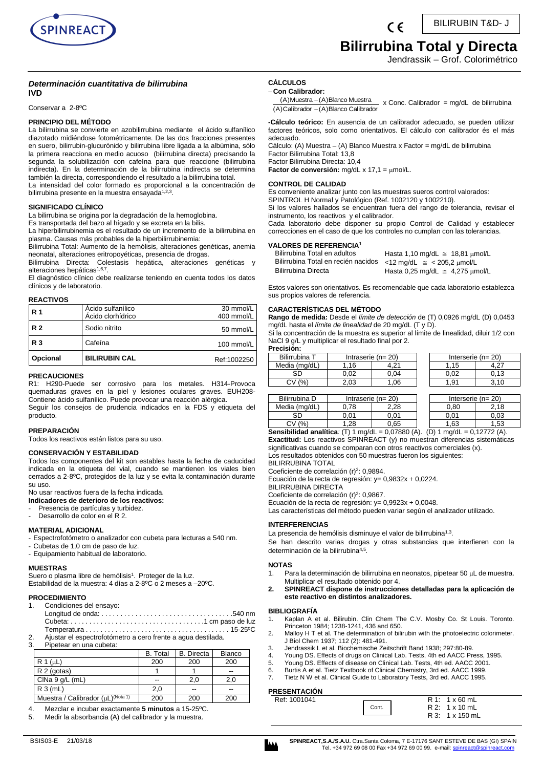

BILIRUBIN T&D- J  $\epsilon$ 

# **Bilirrubina Total y Directa**

Jendrassik – Grof. Colorimétrico

# *Determinación cuantitativa de bilirrubina*  **IVD**

Conservar a 2-8ºC

# **PRINCIPIO DEL MÉTODO**

La bilirrubina se convierte en azobilirrubina mediante el ácido sulfanílico diazotado midiéndose fotométricamente. De las dos fracciones presentes en suero, bilirrubin-glucurónido y bilirrubina libre ligada a la albúmina, sólo la primera reacciona en medio acuoso (bilirrubina directa) precisando la segunda la solubilización con cafeína para que reaccione (bilirrubina indirecta). En la determinación de la bilirrubina indirecta se determina también la directa, correspondiendo el resultado a la bilirrubina total.

La intensidad del color formado es proporcional a la concentración de bilirrubina presente en la muestra ensayada<sup>1,2,3</sup>.

# **SIGNIFICADO CLÍNICO**

La bilirrubina se origina por la degradación de la hemoglobina.

Es transportada del bazo al hígado y se excreta en la bilis.

La hiperbilirrubinemia es el resultado de un incremento de la bilirrubina en plasma. Causas más probables de la hiperbilirrubinemia:

Bilirrubina Total: Aumento de la hemólisis, alteraciones genéticas, anemia neonatal, alteraciones eritropoyéticas, presencia de drogas.

Bilirrubina Directa: Colestasis hepática, alteraciones genéticas y alteraciones hepáticas<sup>1,6,7</sup>.

El diagnóstico clínico debe realizarse teniendo en cuenta todos los datos clínicos y de laboratorio.

# **REACTIVOS**

| Opcional   | <b>BILIRUBIN CAL</b>                   | Ref:1002250             |
|------------|----------------------------------------|-------------------------|
| <b>R3</b>  | Cafeína                                | 100 mmol/L              |
| <b>R2</b>  | Sodio nitrito                          | 50 mmol/L               |
| <b>R</b> 1 | Acido sulfanílico<br>Ácido clorhídrico | 30 mmol/L<br>400 mmol/L |

# **PRECAUCIONES**

R1: H290-Puede ser corrosivo para los metales. H314-Provoca quemaduras graves en la piel y lesiones oculares graves. EUH208- Contiene ácido sulfanílico. Puede provocar una reacción alérgica.

Seguir los consejos de prudencia indicados en la FDS y etiqueta del producto.

# **PREPARACIÓN**

Todos los reactivos están listos para su uso.

# **CONSERVACIÓN Y ESTABILIDAD**

Todos los componentes del kit son estables hasta la fecha de caducidad indicada en la etiqueta del vial, cuando se mantienen los viales bien cerrados a 2-8ºC, protegidos de la luz y se evita la contaminación durante su uso.

No usar reactivos fuera de la fecha indicada.

**Indicadores de deterioro de los reactivos:**

Presencia de partículas y turbidez. Desarrollo de color en el R 2.

# **MATERIAL ADICIONAL**

- Espectrofotómetro o analizador con cubeta para lecturas a 540 nm.

- Cubetas de 1,0 cm de paso de luz.
- Equipamiento habitual de laboratorio.

# **MUESTRAS**

Suero o plasma libre de hemólisis<sup>1</sup>. Proteger de la luz. Estabilidad de la muestra: 4 días a 2-8ºC o 2 meses a –20ºC.

# **PROCEDIMIENTO**

| 1. Condiciones del ensayo:                                      |
|-----------------------------------------------------------------|
|                                                                 |
|                                                                 |
|                                                                 |
| 2. Ajustar el espectrofotómetro a cero frente a aqua destilada. |
| 3 Pinetear en una cubeta:                                       |

|                                               | <b>B.</b> Total | <b>B.</b> Directa | <b>Blanco</b> |
|-----------------------------------------------|-----------------|-------------------|---------------|
| R 1 (uL)                                      | 200             | 200               | 200           |
| R 2 (gotas)                                   |                 |                   | --            |
| CINA 9 q/L (mL)                               | --              | 2.0               | 2,0           |
| R3(mL)                                        | 2,0             | --                | --            |
| Muestra / Calibrador (µL) <sup>(Nota 1)</sup> | 200             | 200               | 200           |

4. Mezclar e incubar exactamente **5 minutos** a 15-25ºC.

Medir la absorbancia (A) del calibrador y la muestra.

#### **CÁLCULOS Con Calibrador:**

(A)Calibrador - (A)Blanco Calibrador  $(A)$ Muestra  $-(A)$ Blanco Muestra  $x$  Conc. Calibrador = mg/dL de bilirrubina

**-Cálculo teórico:** En ausencia de un calibrador adecuado, se pueden utilizar factores teóricos, solo como orientativos. El cálculo con calibrador és el más adecuado.

Cálculo: (A) Muestra – (A) Blanco Muestra x Factor = mg/dL de bilirrubina Factor Bilirrubina Total: 13,8 Factor Bilirrubina Directa: 10,4

Factor de conversión: mg/dL x 17,1 = µmol/L.

# **CONTROL DE CALIDAD**

Es conveniente analizar junto con las muestras sueros control valorados: SPINTROL H Normal y Patológico (Ref. 1002120 y 1002210).

Si los valores hallados se encuentran fuera del rango de tolerancia, revisar el instrumento, los reactivos y el calibrador.

Cada laboratorio debe disponer su propio Control de Calidad y establecer correcciones en el caso de que los controles no cumplan con las tolerancias.

# **VALORES DE REFERENCIA<sup>1</sup>**

| Bilirrubina Total en adultos                                          | Hasta 1,10 mg/dL $\approx$ 18,81 $\mu$ mol/L |
|-----------------------------------------------------------------------|----------------------------------------------|
| Bilirrubina Total en recién nacidos <12 mg/dL $\approx$ <205,2 µmol/L |                                              |
| Bilirrubina Directa                                                   | Hasta 0,25 mg/dL $\approx$ 4,275 $\mu$ mol/L |

Estos valores son orientativos. Es recomendable que cada laboratorio establezca sus propios valores de referencia.

# **CARACTERÍSTICAS DEL MÉTODO**

**Rango de medida:** Desde el *límite de detección* de (T) 0,0926 mg/dL (D) 0,0453 mg/dL hasta el *límite de linealidad* de 20 mg/dL (T y D).

Si la concentración de la muestra es superior al límite de linealidad, diluir 1/2 con NaCl 9 g/L y multiplicar el resultado final por 2.

| Precisión: | . |  |
|------------|---|--|
|            |   |  |

| Bilirrubina T | Intraserie ( $n = 20$ ) |      |      | Interserie ( $n = 20$ ) |
|---------------|-------------------------|------|------|-------------------------|
| Media (mg/dL) | .16                     |      | 1,15 | $+27$                   |
| SD            | 0.02                    | 0.04 | 0,02 | 0,13                    |
| ٬%۰<br>СV     | 2,03                    | 1.06 | 1.91 | 3.10                    |
|               |                         |      |      |                         |
| Bilirrubina D | Intraserie ( $n = 20$ ) |      |      | Interserie ( $n = 20$ ) |
| Media (mg/dL) |                         |      | 0.80 |                         |

| <b>Sensibilidad analítica</b> : (T) 1 mg/dL = 0,07880 (A). (D) 1 mg/dL = 0,12772 (A). |       |      |  |      |      |  |
|---------------------------------------------------------------------------------------|-------|------|--|------|------|--|
| CV (%)                                                                                | .28   | 0.65 |  | 1.63 | 1.53 |  |
|                                                                                       | 0.01  | 0.01 |  | 0.01 | 0.03 |  |
| IVICUID IIIU/ULI                                                                      | V. LO | 2.ZO |  | v.ov | 2.IO |  |

**Exactitud:** Los reactivos SPINREACT (y) no muestran diferencias sistemáticas significativas cuando se comparan con otros reactivos comerciales (x).

Los resultados obtenidos con 50 muestras fueron los siguientes:

BILIRRUBINA TOTAL

Coeficiente de correlación (r)<sup>2</sup>: 0,9894.

Ecuación de la recta de regresión: y= 0,9832x + 0,0224.

BILIRRUBINA DIRECTA

Coeficiente de correlación (r)<sup>2</sup>: 0,9867.

Ecuación de la recta de regresión: y= 0,9923x + 0,0048.

Las características del método pueden variar según el analizador utilizado.

# **INTERFERENCIAS**

La presencia de hemólisis disminuye el valor de bilirrubina<sup>1,3</sup>.

Se han descrito varias drogas y otras substancias que interfieren con la determinación de la bilirrubina<sup>4,5</sup>.

# **NOTAS**

- 1. Para la determinación de bilirrubina en neonatos, pipetear 50  $\mu$ L de muestra. Multiplicar el resultado obtenido por 4.
- **2. SPINREACT dispone de instrucciones detalladas para la aplicación de este reactivo en distintos analizadores.**

#### **BIBLIOGRAFÍA**

- 1. Kaplan A et al. Bilirubin. Clin Chem The C.V. Mosby Co. St Louis. Toronto. Princeton 1984; 1238-1241, 436 and 650.
- 2. Malloy H T et al. The determination of bilirubin with the photoelectric colorimeter. J Biol Chem 1937; 112 (2): 481-491.
- 3. Jendrassik L et al. Biochemische Zeitschrift Band 1938; 297:80-89.
- 4. Young DS. Effects of drugs on Clinical Lab. Tests, 4th ed AACC Press, 1995.
- 5. Young DS. Effects of disease on Clinical Lab. Tests, 4th ed. AACC 2001.
- 6. Burtis A et al. Tietz Textbook of Clinical Chemistry, 3rd ed. AACC 1999. Tietz N W et al. Clinical Guide to Laboratory Tests, 3rd ed. AACC 1995.

# **PRESENTACIÓN**

| <b>FRESENTAGIUN</b> |       |                      |
|---------------------|-------|----------------------|
| Ref: 1001041        |       | $R1: 1 \times 60$ mL |
|                     | Cont. | $R2: 1 \times 10$ mL |
|                     |       | R 3: 1 x 150 mL      |